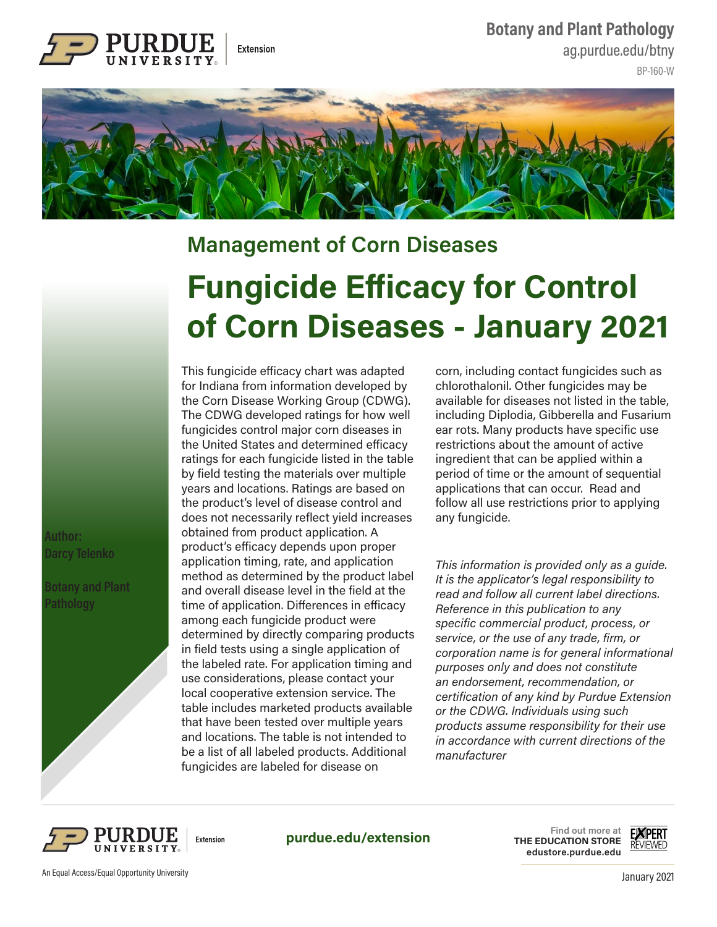**Botany and Plant Pathology**



ag.purdue.edu/btny

BP-160-W



## **Fungicide Efficacy for Control of Corn Diseases - January 2021 Management of Corn Diseases**

 **Author: Darcy Telenko** 

 **Botany and Plant Pathology** 

This fungicide efficacy chart was adapted for Indiana from information developed by the Corn Disease Working Group (CDWG). The CDWG developed ratings for how well fungicides control major corn diseases in the United States and determined efficacy ratings for each fungicide listed in the table by field testing the materials over multiple years and locations. Ratings are based on the product's level of disease control and does not necessarily reflect yield increases obtained from product application. A product's efficacy depends upon proper application timing, rate, and application method as determined by the product label and overall disease level in the field at the time of application. Differences in efficacy among each fungicide product were determined by directly comparing products in field tests using a single application of the labeled rate. For application timing and use considerations, please contact your local cooperative extension service. The table includes marketed products available that have been tested over multiple years and locations. The table is not intended to be a list of all labeled products. Additional fungicides are labeled for disease on

corn, including contact fungicides such as chlorothalonil. Other fungicides may be available for diseases not listed in the table, including Diplodia, Gibberella and Fusarium ear rots. Many products have specific use restrictions about the amount of active ingredient that can be applied within a period of time or the amount of sequential applications that can occur. Read and follow all use restrictions prior to applying any fungicide.

*This information is provided only as a guide. It is the applicator's legal responsibility to read and follow all current label directions. Reference in this publication to any specific commercial product, process, or service, or the use of any trade, firm, or corporation name is for general informational purposes only and does not constitute an endorsement, recommendation, or certification of any kind by Purdue Extension or the CDWG. Individuals using such products assume responsibility for their use in accordance with current directions of the manufacturer*



**purdue.edu/extension**

**Find out more at THE EDUCATION STORE edustore.purdue.edu**

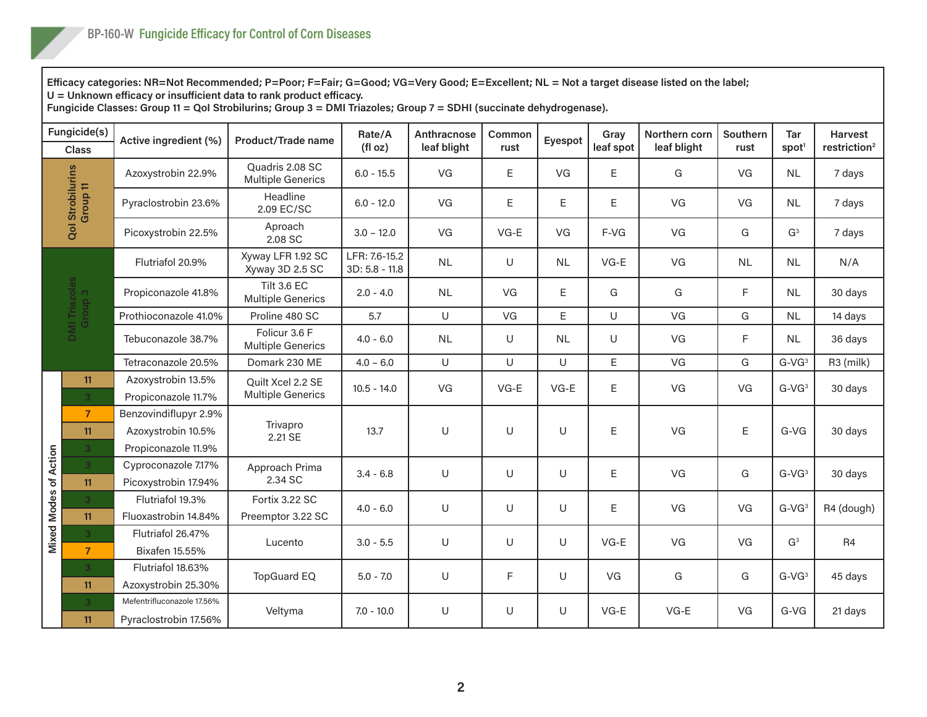**Efficacy categories: NR=Not Recommended; P=Poor; F=Fair; G=Good; VG=Very Good; E=Excellent; NL = Not a target disease listed on the label;** 

**U = Unknown efficacy or insufficient data to rank product efficacy.** 

**Fungicide Classes: Group 11 = QoI Strobilurins; Group 3 = DMI Triazoles; Group 7 = SDHI (succinate dehydrogenase).** 

| Fungicide(s)<br><b>Class</b> |                                        | Active ingredient (%)                                              | Product/Trade name                             | Rate/A<br>(f oz)                  | Anthracnose<br>leaf blight | Common<br>rust | Eyespot     | Gray<br>leaf spot | Northern corn<br>leaf blight | Southern<br>rust | <b>Tar</b><br>spot <sup>1</sup> | <b>Harvest</b><br>restriction <sup>2</sup> |
|------------------------------|----------------------------------------|--------------------------------------------------------------------|------------------------------------------------|-----------------------------------|----------------------------|----------------|-------------|-------------------|------------------------------|------------------|---------------------------------|--------------------------------------------|
| Qol Strobilurins<br>Group 11 |                                        | Azoxystrobin 22.9%                                                 | Quadris 2.08 SC<br><b>Multiple Generics</b>    | $6.0 - 15.5$                      | VG                         | E              | VG          | $\mathsf E$       | G                            | VG               | NL                              | 7 days                                     |
|                              |                                        | Pyraclostrobin 23.6%                                               | Headline<br>2.09 EC/SC                         | $6.0 - 12.0$                      | VG                         | E              | $\mathsf E$ | Ε                 | VG                           | VG               | <b>NL</b>                       | 7 days                                     |
|                              |                                        | Picoxystrobin 22.5%                                                | Aproach<br>2.08 SC                             | $3.0 - 12.0$                      | VG                         | $VG-E$         | VG          | F-VG              | VG                           | G                | G <sup>3</sup>                  | 7 days                                     |
|                              | DMI Triazoles<br>Group 3               | Flutriafol 20.9%                                                   | Xyway LFR 1.92 SC<br>Xyway 3D 2.5 SC           | LFR: 7.6-15.2<br>$3D: 5.8 - 11.8$ | <b>NL</b>                  | $\cup$         | <b>NL</b>   | $VG-E$            | VG                           | <b>NL</b>        | <b>NL</b>                       | N/A                                        |
|                              |                                        | Propiconazole 41.8%                                                | <b>Tilt 3.6 EC</b><br><b>Multiple Generics</b> | $2.0 - 4.0$                       | <b>NL</b>                  | VG             | E           | G                 | G                            | F                | <b>NL</b>                       | 30 days                                    |
|                              |                                        | Prothioconazole 41.0%                                              | Proline 480 SC                                 | 5.7                               | $\cup$                     | VG             | E           | $\cup$            | VG                           | G                | <b>NL</b>                       | 14 days                                    |
|                              |                                        | Tebuconazole 38.7%                                                 | Folicur 3.6 F<br><b>Multiple Generics</b>      | $4.0 - 6.0$                       | <b>NL</b>                  | $\cup$         | <b>NL</b>   | U                 | VG                           | F                | <b>NL</b>                       | 36 days                                    |
|                              |                                        | Tetraconazole 20.5%                                                | Domark 230 ME                                  | $4.0 - 6.0$                       | $\cup$                     | $\cup$         | $\cup$      | E                 | VG                           | G                | $G-VG3$                         | R3 (milk)                                  |
|                              | 11<br>3 <sup>1</sup>                   | Azoxystrobin 13.5%<br>Propiconazole 11.7%                          | Quilt Xcel 2.2 SE<br><b>Multiple Generics</b>  | $10.5 - 14.0$                     | VG                         | $VG-E$         | $VG-E$      | Ε                 | VG                           | VG               | $G$ -V $G3$                     | 30 days                                    |
|                              | $\overline{7}$<br>11<br>3 <sup>1</sup> | Benzovindiflupyr 2.9%<br>Azoxystrobin 10.5%<br>Propiconazole 11.9% | Trivapro<br>2.21 SE                            | 13.7                              | U                          | U              | $\cup$      | Ε                 | VG                           | E                | $G-VG$                          | 30 days                                    |
| <b>Mixed Modes of Action</b> | 3 <sup>°</sup><br>11                   | Cyproconazole 7.17%<br>Picoxystrobin 17.94%                        | Approach Prima<br>2.34 SC                      | $3.4 - 6.8$                       | U                          | U              | U           | Ε                 | VG                           | G                | $G-VG3$                         | 30 days                                    |
|                              | 3 <sup>1</sup><br>11                   | Flutriafol 19.3%<br>Fluoxastrobin 14.84%                           | Fortix 3.22 SC<br>Preemptor 3.22 SC            | $4.0 - 6.0$                       | U                          | U              | U           | $\mathsf E$       | VG                           | VG               | $G$ -V $G$ <sup>3</sup>         | R4 (dough)                                 |
|                              | 3<br>$\overline{7}$                    | Flutriafol 26.47%<br><b>Bixafen 15.55%</b>                         | Lucento                                        | $3.0 - 5.5$                       | U                          | U              | U           | $VG-E$            | VG                           | VG               | G <sup>3</sup>                  | R <sub>4</sub>                             |
|                              | 3 <sup>1</sup><br>11                   | Flutriafol 18.63%<br>Azoxystrobin 25.30%                           | <b>TopGuard EQ</b>                             | $5.0 - 7.0$                       | U                          | F              | U           | VG                | G                            | G                | $G$ -V $G$ <sup>3</sup>         | 45 days                                    |
|                              | 3 <sup>1</sup><br>11                   | Mefentrifluconazole 17.56%<br>Pyraclostrobin 17.56%                | Veltyma                                        | $7.0 - 10.0$                      | $\cup$                     | $\cup$         | U           | $VG-E$            | $VG-E$                       | VG               | $G-VG$                          | 21 days                                    |